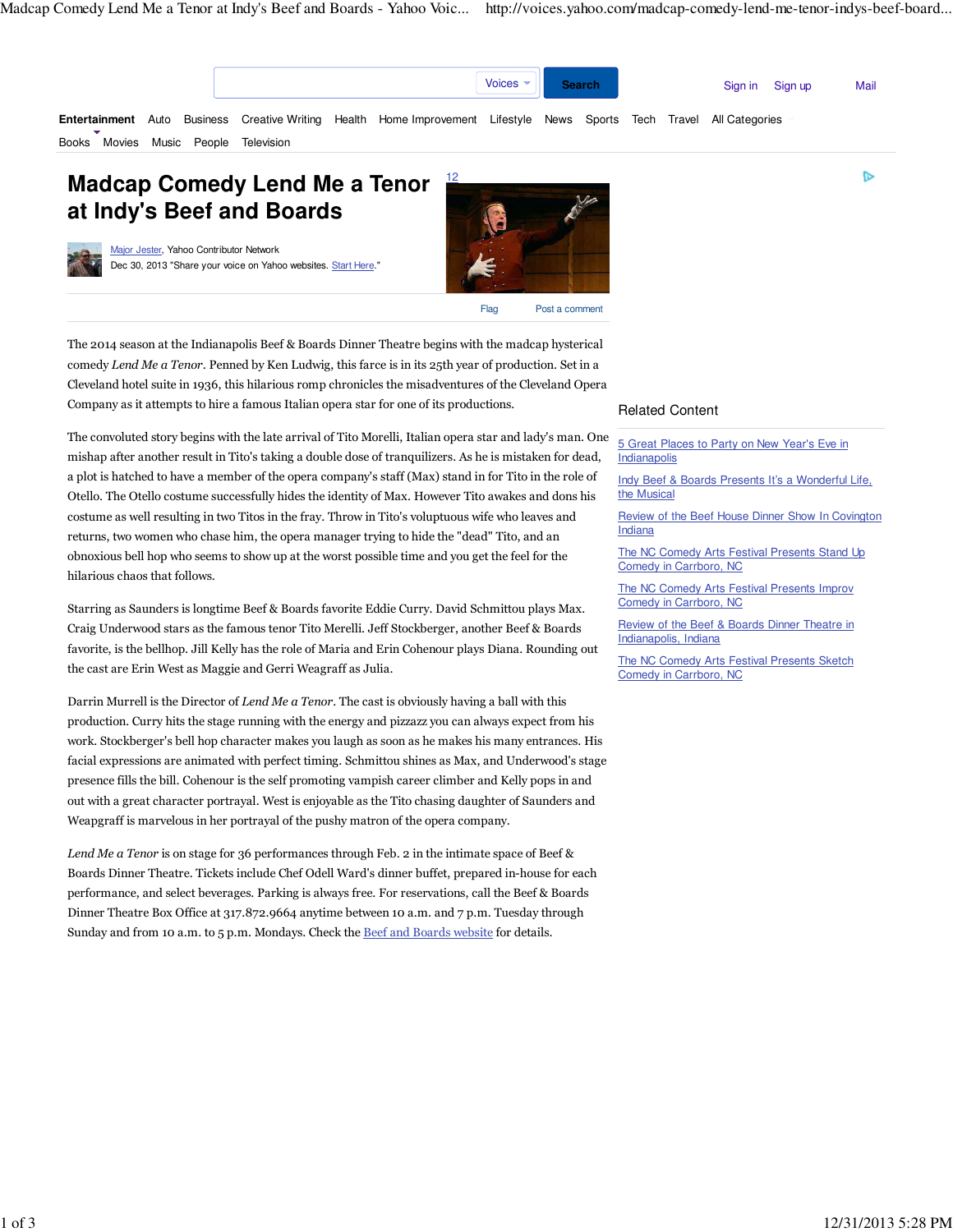D



# **Madcap Comedy Lend Me a Tenor at Indy's Beef and Boards**

Major Jester, Yahoo Contributor Network Dec 30, 2013 "Share your voice on Yahoo websites. Start Here."



The 2014 season at the Indianapolis Beef & Boards Dinner Theatre begins with the madcap hysterical comedy Lend Me a Tenor. Penned by Ken Ludwig, this farce is in its 25th year of production. Set in a Cleveland hotel suite in 1936, this hilarious romp chronicles the misadventures of the Cleveland Opera Company as it attempts to hire a famous Italian opera star for one of its productions.

The convoluted story begins with the late arrival of Tito Morelli, Italian opera star and lady's man. One mishap after another result in Tito's taking a double dose of tranquilizers. As he is mistaken for dead, a plot is hatched to have a member of the opera company's staff (Max) stand in for Tito in the role of Otello. The Otello costume successfully hides the identity of Max. However Tito awakes and dons his costume as well resulting in two Titos in the fray. Throw in Tito's voluptuous wife who leaves and returns, two women who chase him, the opera manager trying to hide the "dead" Tito, and an obnoxious bell hop who seems to show up at the worst possible time and you get the feel for the hilarious chaos that follows.

Starring as Saunders is longtime Beef & Boards favorite Eddie Curry. David Schmittou plays Max. Craig Underwood stars as the famous tenor Tito Merelli. Jeff Stockberger, another Beef & Boards favorite, is the bellhop. Jill Kelly has the role of Maria and Erin Cohenour plays Diana. Rounding out the cast are Erin West as Maggie and Gerri Weagraff as Julia.

Darrin Murrell is the Director of Lend Me a Tenor. The cast is obviously having a ball with this production. Curry hits the stage running with the energy and pizzazz you can always expect from his work. Stockberger's bell hop character makes you laugh as soon as he makes his many entrances. His facial expressions are animated with perfect timing. Schmittou shines as Max, and Underwood's stage presence fills the bill. Cohenour is the self promoting vampish career climber and Kelly pops in and out with a great character portrayal. West is enjoyable as the Tito chasing daughter of Saunders and Weapgraff is marvelous in her portrayal of the pushy matron of the opera company.

Lend Me a Tenor is on stage for 36 performances through Feb. 2 in the intimate space of Beef & Boards Dinner Theatre. Tickets include Chef Odell Ward's dinner buffet, prepared in-house for each performance, and select beverages. Parking is always free. For reservations, call the Beef & Boards Dinner Theatre Box Office at 317.872.9664 anytime between 10 a.m. and 7 p.m. Tuesday through Sunday and from 10 a.m. to 5 p.m. Mondays. Check the Beef and Boards website for details.

## Related Content

5 Great Places to Party on New Year's Eve in **Indianapolis** 

Indy Beef & Boards Presents It's a Wonderful Life, the Musical

Review of the Beef House Dinner Show In Covington Indiana

The NC Comedy Arts Festival Presents Stand Up Comedy in Carrboro, NC

The NC Comedy Arts Festival Presents Improv Comedy in Carrboro, NC

Review of the Beef & Boards Dinner Theatre in Indianapolis, Indiana

The NC Comedy Arts Festival Presents Sketch Comedy in Carrboro, NC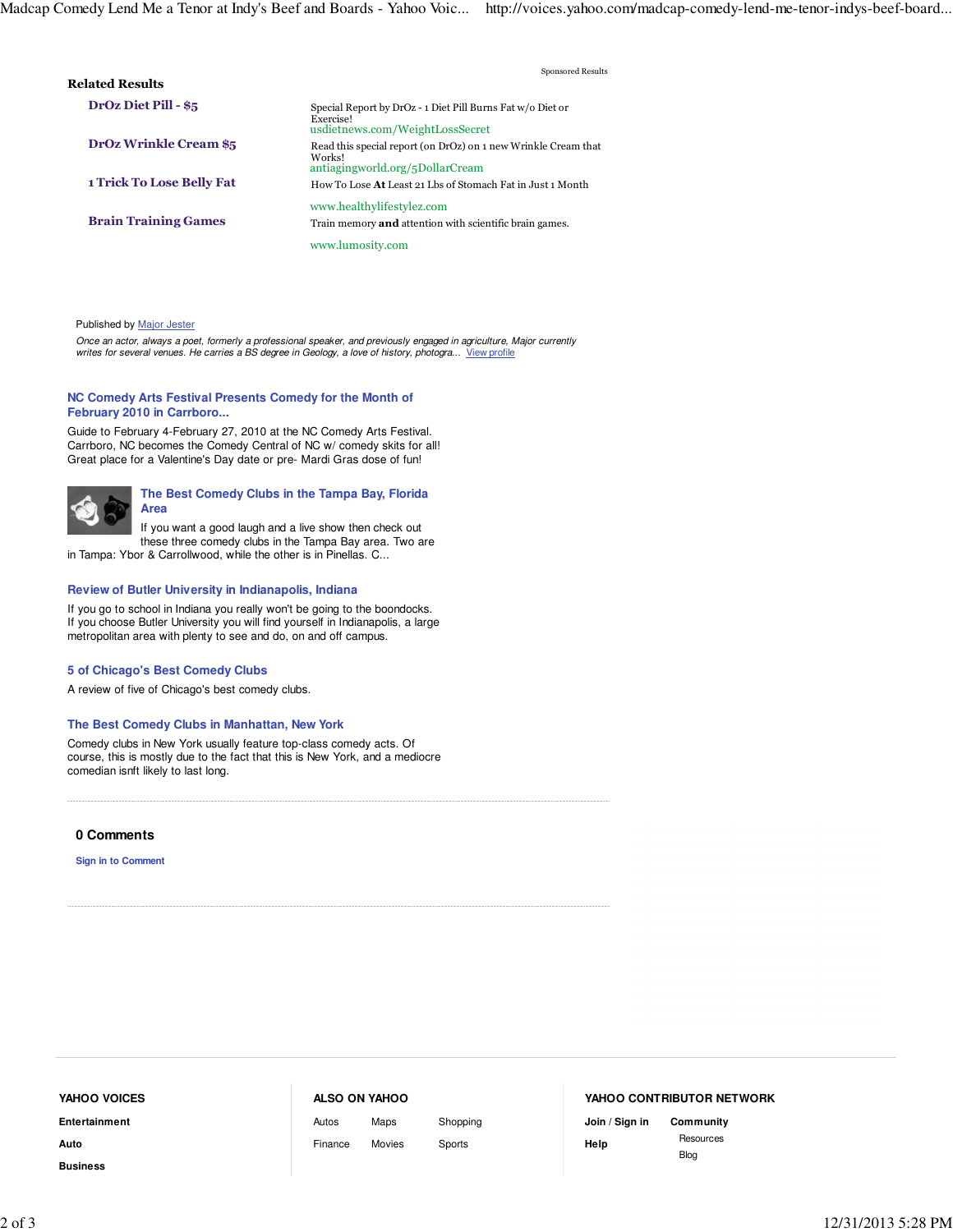| <b>Related Results</b>           | Sponsored Results                                                                                           |
|----------------------------------|-------------------------------------------------------------------------------------------------------------|
| <b>DrOz Diet Pill - \$5</b>      | Special Report by DrOz - 1 Diet Pill Burns Fat w/o Diet or<br>Exercise!<br>usdietnews.com/WeightLossSecret  |
| <b>DrOz Wrinkle Cream \$5</b>    | Read this special report (on DrOz) on 1 new Wrinkle Cream that<br>Works!<br>antiagingworld.org/5DollarCream |
| <b>1 Trick To Lose Belly Fat</b> | How To Lose At Least 21 Lbs of Stomach Fat in Just 1 Month                                                  |
| <b>Brain Training Games</b>      | www.healthylifestylez.com<br>Train memory <b>and</b> attention with scientific brain games.                 |
|                                  | www.lumosity.com                                                                                            |

#### Published by Major Jester

Once an actor, always a poet, formerly a professional speaker, and previously engaged in agriculture, Major currently writes for several venues. He carries a BS degree in Geology, a love of history, photogra... View profile

#### **NC Comedy Arts Festival Presents Comedy for the Month of February 2010 in Carrboro...**

Guide to February 4-February 27, 2010 at the NC Comedy Arts Festival. Carrboro, NC becomes the Comedy Central of NC w/ comedy skits for all! Great place for a Valentine's Day date or pre- Mardi Gras dose of fun!



If you want a good laugh and a live show then check out these three comedy clubs in the Tampa Bay area. Two are

in Tampa: Ybor & Carrollwood, while the other is in Pinellas. C...

#### **Review of Butler University in Indianapolis, Indiana**

If you go to school in Indiana you really won't be going to the boondocks. If you choose Butler University you will find yourself in Indianapolis, a large metropolitan area with plenty to see and do, on and off campus.

#### **5 of Chicago's Best Comedy Clubs**

A review of five of Chicago's best comedy clubs.

#### **The Best Comedy Clubs in Manhattan, New York**

Comedy clubs in New York usually feature top-class comedy acts. Of course, this is mostly due to the fact that this is New York, and a mediocre comedian isnft likely to last long.

#### **0 Comments**

**Sign in to Comment**

# **Entertainment Auto YAHOO VOICES**

**Business**

### **ALSO ON YAHOO**

Autos Finance Maps

Movies Sports

Shopping

## **YAHOO CONTRIBUTOR NETWORK**

**Join / Sign in Help**

**Community** Resources Blog